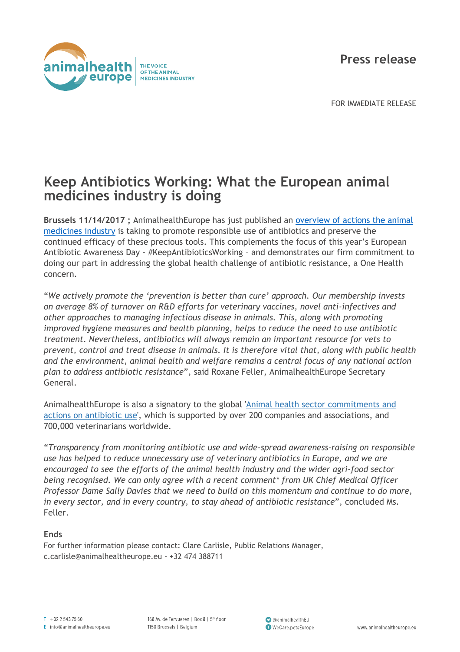**Press release**



FOR IMMEDIATE RELEASE

## **Keep Antibiotics Working: What the European animal medicines industry is doing**

**Brussels 11/14/2017 ;** AnimalhealthEurope has just published an [overview of actions the animal](http://animalhealtheurope.eu/our-contribution/62-antibiotic-action.html)  [medicines industry](http://animalhealtheurope.eu/our-contribution/62-antibiotic-action.html) is taking to promote responsible use of antibiotics and preserve the continued efficacy of these precious tools. This complements the focus of this year's European Antibiotic Awareness Day - #KeepAntibioticsWorking – and demonstrates our firm commitment to doing our part in addressing the global health challenge of antibiotic resistance, a One Health concern.

"*We actively promote the 'prevention is better than cure' approach. Our membership invests on average 8% of turnover on R&D efforts for veterinary vaccines, novel anti-infectives and other approaches to managing infectious disease in animals. This, along with promoting improved hygiene measures and health planning, helps to reduce the need to use antibiotic treatment. Nevertheless, antibiotics will always remain an important resource for vets to prevent, control and treat disease in animals. It is therefore vital that, along with public health and the environment, animal health and welfare remains a central focus of any national action plan to address antibiotic resistance*", said Roxane Feller, AnimalhealthEurope Secretary General.

AnimalhealthEurope is also a signatory to the global 'Animal health sector [commitments](http://animalhealtheurope.eu/component/attachments/attachments.html?id=130) and actions on [antibiotic](http://animalhealtheurope.eu/component/attachments/attachments.html?id=130) use', which is supported by over 200 companies and associations, and 700,000 veterinarians worldwide.

"*Transparency from monitoring antibiotic use and wide-spread awareness-raising on responsible use has helped to reduce unnecessary use of veterinary antibiotics in Europe, and we are encouraged to see the efforts of the animal health industry and the wider agri-food sector being recognised. We can only agree with a recent comment\* from UK Chief Medical Officer Professor Dame Sally Davies that we need to build on this momentum and continue to do more, in every sector, and in every country, to stay ahead of antibiotic resistance*", concluded Ms. Feller.

## **Ends**

For further information please contact: Clare Carlisle, Public Relations Manager, c.carlisle@animalhealtheurope.eu - +32 474 388711